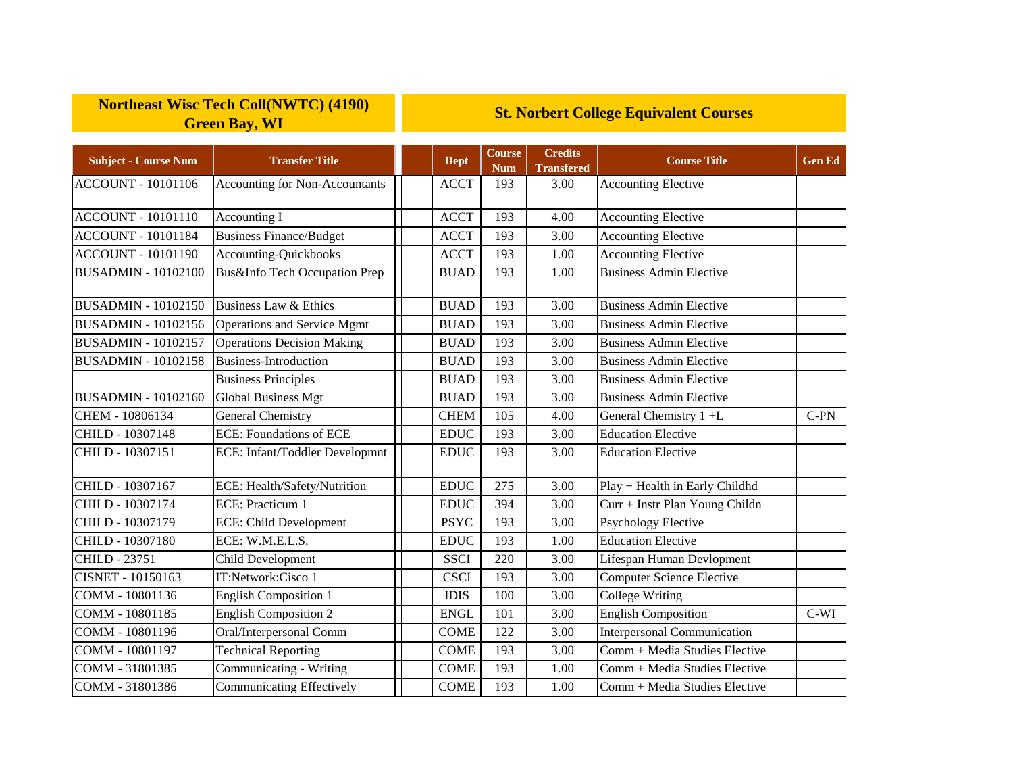## **Northeast Wisc Tech Coll(NWTC) (4190) Green Bay, WI**

## **St. Norbert College Equivalent Courses**

| <b>Subject - Course Num</b> | <b>Transfer Title</b>                 | <b>Dept</b> | <b>Course</b><br><b>Num</b> | <b>Credits</b><br><b>Transfered</b> | <b>Course Title</b>                | <b>Gen Ed</b> |
|-----------------------------|---------------------------------------|-------------|-----------------------------|-------------------------------------|------------------------------------|---------------|
| <b>ACCOUNT - 10101106</b>   | <b>Accounting for Non-Accountants</b> | <b>ACCT</b> | 193                         | 3.00                                | <b>Accounting Elective</b>         |               |
| <b>ACCOUNT - 10101110</b>   | Accounting I                          | <b>ACCT</b> | 193                         | 4.00                                | <b>Accounting Elective</b>         |               |
| <b>ACCOUNT - 10101184</b>   | <b>Business Finance/Budget</b>        | <b>ACCT</b> | 193                         | 3.00                                | <b>Accounting Elective</b>         |               |
| <b>ACCOUNT - 10101190</b>   | Accounting-Quickbooks                 | <b>ACCT</b> | 193                         | 1.00                                | <b>Accounting Elective</b>         |               |
| <b>BUSADMIN - 10102100</b>  | Bus&Info Tech Occupation Prep         | <b>BUAD</b> | 193                         | 1.00                                | <b>Business Admin Elective</b>     |               |
| <b>BUSADMIN - 10102150</b>  | Business Law & Ethics                 | <b>BUAD</b> | 193                         | 3.00                                | <b>Business Admin Elective</b>     |               |
| <b>BUSADMIN - 10102156</b>  | Operations and Service Mgmt           | <b>BUAD</b> | 193                         | 3.00                                | <b>Business Admin Elective</b>     |               |
| <b>BUSADMIN - 10102157</b>  | <b>Operations Decision Making</b>     | <b>BUAD</b> | $\overline{1}93$            | 3.00                                | <b>Business Admin Elective</b>     |               |
| <b>BUSADMIN - 10102158</b>  | <b>Business-Introduction</b>          | <b>BUAD</b> | 193                         | 3.00                                | <b>Business Admin Elective</b>     |               |
|                             | <b>Business Principles</b>            | <b>BUAD</b> | 193                         | 3.00                                | <b>Business Admin Elective</b>     |               |
| <b>BUSADMIN - 10102160</b>  | Global Business Mgt                   | <b>BUAD</b> | 193                         | 3.00                                | <b>Business Admin Elective</b>     |               |
| CHEM - 10806134             | <b>General Chemistry</b>              | <b>CHEM</b> | 105                         | 4.00                                | General Chemistry 1+L              | $C-PN$        |
| CHILD - 10307148            | <b>ECE:</b> Foundations of ECE        | <b>EDUC</b> | 193                         | 3.00                                | <b>Education Elective</b>          |               |
| CHILD - 10307151            | ECE: Infant/Toddler Developmnt        | <b>EDUC</b> | 193                         | 3.00                                | <b>Education Elective</b>          |               |
| CHILD - 10307167            | ECE: Health/Safety/Nutrition          | <b>EDUC</b> | 275                         | 3.00                                | Play + Health in Early Childhd     |               |
| CHILD - 10307174            | ECE: Practicum 1                      | <b>EDUC</b> | 394                         | 3.00                                | Curr + Instr Plan Young Childn     |               |
| CHILD - 10307179            | <b>ECE: Child Development</b>         | <b>PSYC</b> | 193                         | 3.00                                | <b>Psychology Elective</b>         |               |
| CHILD - 10307180            | ECE: W.M.E.L.S.                       | <b>EDUC</b> | 193                         | 1.00                                | <b>Education Elective</b>          |               |
| <b>CHILD - 23751</b>        | Child Development                     | <b>SSCI</b> | 220                         | 3.00                                | Lifespan Human Devlopment          |               |
| <b>CISNET - 10150163</b>    | IT:Network:Cisco 1                    | <b>CSCI</b> | 193                         | 3.00                                | <b>Computer Science Elective</b>   |               |
| COMM - 10801136             | <b>English Composition 1</b>          | <b>IDIS</b> | 100                         | 3.00                                | <b>College Writing</b>             |               |
| COMM - 10801185             | <b>English Composition 2</b>          | <b>ENGL</b> | 101                         | 3.00                                | <b>English Composition</b>         | $C-WI$        |
| COMM - 10801196             | Oral/Interpersonal Comm               | <b>COME</b> | 122                         | 3.00                                | <b>Interpersonal Communication</b> |               |
| COMM - 10801197             | <b>Technical Reporting</b>            | <b>COME</b> | 193                         | 3.00                                | Comm + Media Studies Elective      |               |
| COMM - 31801385             | Communicating - Writing               | <b>COME</b> | 193                         | 1.00                                | Comm + Media Studies Elective      |               |
| COMM - 31801386             | <b>Communicating Effectively</b>      | <b>COME</b> | 193                         | 1.00                                | Comm + Media Studies Elective      |               |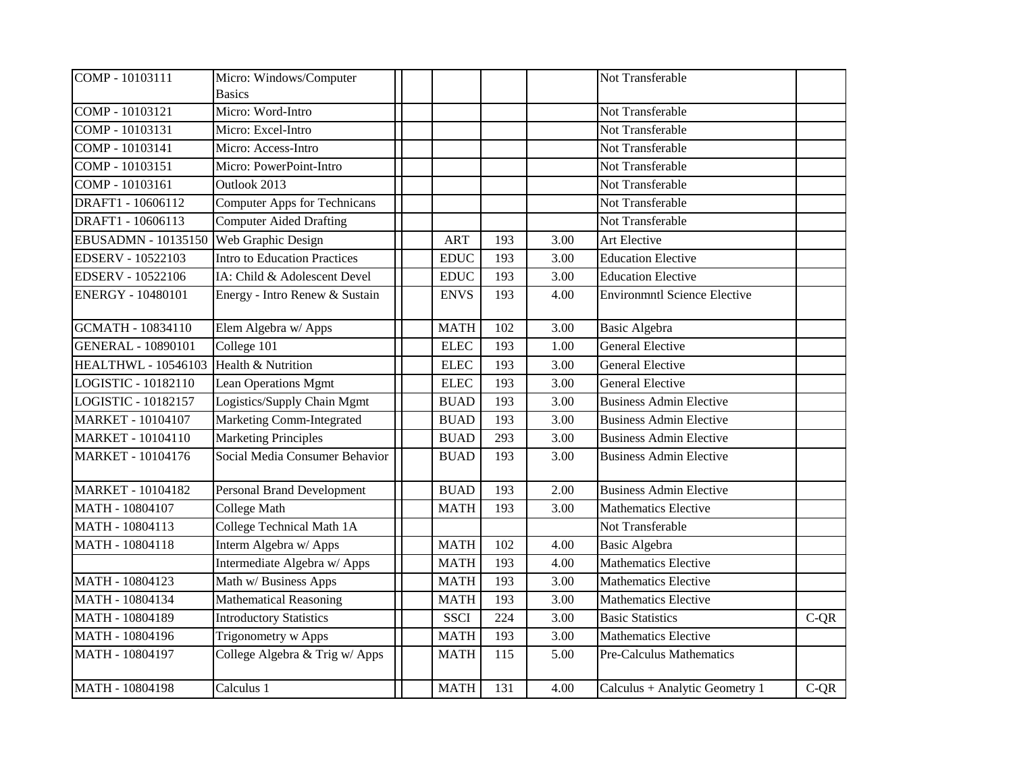| COMP - 10103111            | Micro: Windows/Computer             |             |     |                   | Not Transferable                    |        |
|----------------------------|-------------------------------------|-------------|-----|-------------------|-------------------------------------|--------|
|                            | <b>Basics</b>                       |             |     |                   |                                     |        |
| COMP - 10103121            | Micro: Word-Intro                   |             |     |                   | Not Transferable                    |        |
| COMP - 10103131            | Micro: Excel-Intro                  |             |     |                   | Not Transferable                    |        |
| COMP - 10103141            | Micro: Access-Intro                 |             |     |                   | Not Transferable                    |        |
| COMP - 10103151            | Micro: PowerPoint-Intro             |             |     |                   | Not Transferable                    |        |
| COMP - 10103161            | Outlook 2013                        |             |     |                   | Not Transferable                    |        |
| DRAFT1 - 10606112          | <b>Computer Apps for Technicans</b> |             |     |                   | Not Transferable                    |        |
| DRAFT1 - 10606113          | <b>Computer Aided Drafting</b>      |             |     |                   | Not Transferable                    |        |
| EBUSADMN - 10135150        | Web Graphic Design                  | <b>ART</b>  | 193 | 3.00              | Art Elective                        |        |
| <b>EDSERV - 10522103</b>   | Intro to Education Practices        | <b>EDUC</b> | 193 | $\overline{3.00}$ | <b>Education Elective</b>           |        |
| <b>EDSERV - 10522106</b>   | IA: Child & Adolescent Devel        | <b>EDUC</b> | 193 | 3.00              | <b>Education Elective</b>           |        |
| <b>ENERGY - 10480101</b>   | Energy - Intro Renew & Sustain      | <b>ENVS</b> | 193 | 4.00              | <b>Environmntl Science Elective</b> |        |
| GCMATH - 10834110          | Elem Algebra w/ Apps                | <b>MATH</b> | 102 | 3.00              | <b>Basic Algebra</b>                |        |
| <b>GENERAL - 10890101</b>  | College 101                         | <b>ELEC</b> | 193 | 1.00              | <b>General Elective</b>             |        |
| <b>HEALTHWL - 10546103</b> | Health & Nutrition                  | <b>ELEC</b> | 193 | 3.00              | <b>General Elective</b>             |        |
| LOGISTIC - 10182110        | Lean Operations Mgmt                | <b>ELEC</b> | 193 | 3.00              | <b>General Elective</b>             |        |
| LOGISTIC - 10182157        | Logistics/Supply Chain Mgmt         | <b>BUAD</b> | 193 | 3.00              | <b>Business Admin Elective</b>      |        |
| <b>MARKET - 10104107</b>   | Marketing Comm-Integrated           | <b>BUAD</b> | 193 | 3.00              | <b>Business Admin Elective</b>      |        |
| <b>MARKET - 10104110</b>   | <b>Marketing Principles</b>         | <b>BUAD</b> | 293 | 3.00              | <b>Business Admin Elective</b>      |        |
| <b>MARKET - 10104176</b>   | Social Media Consumer Behavior      | <b>BUAD</b> | 193 | 3.00              | <b>Business Admin Elective</b>      |        |
| <b>MARKET - 10104182</b>   | <b>Personal Brand Development</b>   | <b>BUAD</b> | 193 | 2.00              | <b>Business Admin Elective</b>      |        |
| MATH - 10804107            | <b>College Math</b>                 | <b>MATH</b> | 193 | 3.00              | <b>Mathematics Elective</b>         |        |
| MATH - 10804113            | College Technical Math 1A           |             |     |                   | Not Transferable                    |        |
| MATH - 10804118            | Interm Algebra w/ Apps              | <b>MATH</b> | 102 | 4.00              | <b>Basic Algebra</b>                |        |
|                            | Intermediate Algebra w/ Apps        | <b>MATH</b> | 193 | 4.00              | Mathematics Elective                |        |
| MATH - 10804123            | Math w/ Business Apps               | <b>MATH</b> | 193 | 3.00              | <b>Mathematics Elective</b>         |        |
| MATH - 10804134            | <b>Mathematical Reasoning</b>       | <b>MATH</b> | 193 | 3.00              | <b>Mathematics Elective</b>         |        |
| MATH - 10804189            | <b>Introductory Statistics</b>      | <b>SSCI</b> | 224 | 3.00              | <b>Basic Statistics</b>             | $C-QR$ |
| MATH - 10804196            | Trigonometry w Apps                 | <b>MATH</b> | 193 | 3.00              | <b>Mathematics Elective</b>         |        |
| MATH - 10804197            | College Algebra & Trig w/ Apps      | <b>MATH</b> | 115 | 5.00              | Pre-Calculus Mathematics            |        |
| MATH - 10804198            | Calculus 1                          | <b>MATH</b> | 131 | 4.00              | Calculus + Analytic Geometry 1      | $C-QR$ |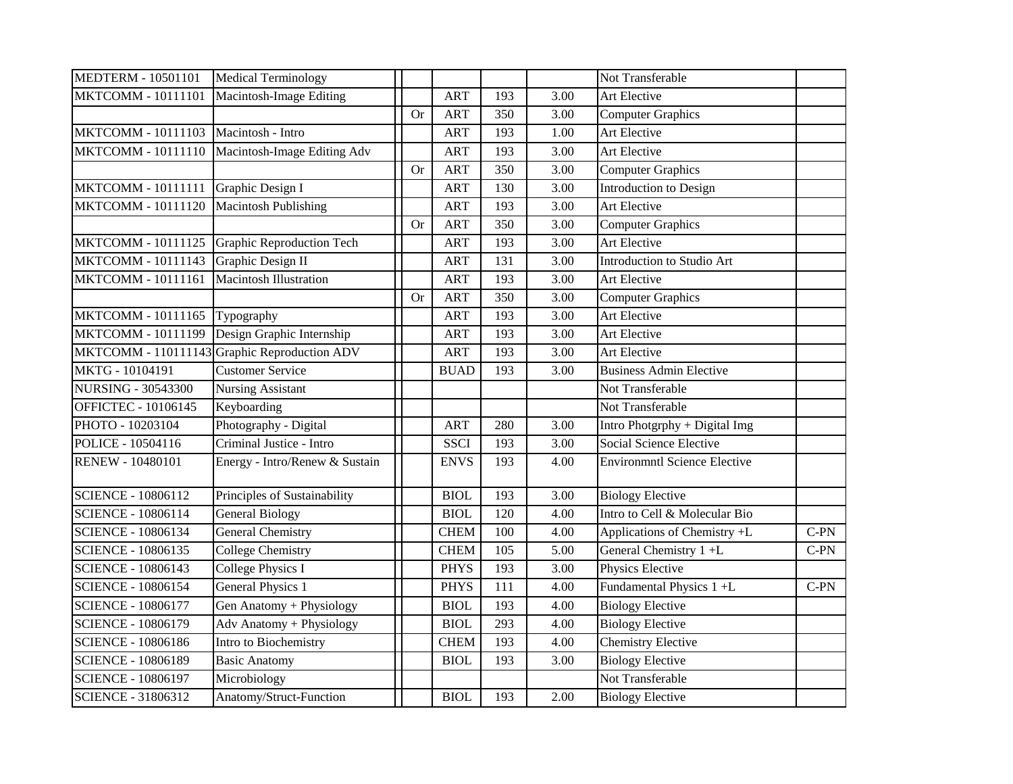| <b>MEDTERM - 10501101</b>  | <b>Medical Terminology</b>                   |           |             |     |      | Not Transferable                    |        |
|----------------------------|----------------------------------------------|-----------|-------------|-----|------|-------------------------------------|--------|
| MKTCOMM - 10111101         | Macintosh-Image Editing                      |           | <b>ART</b>  | 193 | 3.00 | <b>Art Elective</b>                 |        |
|                            |                                              | <b>Or</b> | <b>ART</b>  | 350 | 3.00 | <b>Computer Graphics</b>            |        |
| MKTCOMM - 10111103         | Macintosh - Intro                            |           | <b>ART</b>  | 193 | 1.00 | Art Elective                        |        |
| MKTCOMM - 10111110         | Macintosh-Image Editing Adv                  |           | <b>ART</b>  | 193 | 3.00 | Art Elective                        |        |
|                            |                                              | <b>Or</b> | <b>ART</b>  | 350 | 3.00 | <b>Computer Graphics</b>            |        |
| <b>MKTCOMM - 10111111</b>  | Graphic Design I                             |           | <b>ART</b>  | 130 | 3.00 | Introduction to Design              |        |
| MKTCOMM - 10111120         | <b>Macintosh Publishing</b>                  |           | <b>ART</b>  | 193 | 3.00 | Art Elective                        |        |
|                            |                                              | <b>Or</b> | <b>ART</b>  | 350 | 3.00 | <b>Computer Graphics</b>            |        |
| MKTCOMM - 10111125         | Graphic Reproduction Tech                    |           | <b>ART</b>  | 193 | 3.00 | Art Elective                        |        |
| <b>MKTCOMM - 10111143</b>  | Graphic Design II                            |           | <b>ART</b>  | 131 | 3.00 | Introduction to Studio Art          |        |
| <b>MKTCOMM - 10111161</b>  | <b>Macintosh Illustration</b>                |           | <b>ART</b>  | 193 | 3.00 | Art Elective                        |        |
|                            |                                              | <b>Or</b> | <b>ART</b>  | 350 | 3.00 | <b>Computer Graphics</b>            |        |
| MKTCOMM - 10111165         | Typography                                   |           | <b>ART</b>  | 193 | 3.00 | Art Elective                        |        |
| MKTCOMM - 10111199         | Design Graphic Internship                    |           | <b>ART</b>  | 193 | 3.00 | Art Elective                        |        |
|                            | MKTCOMM - 110111143 Graphic Reproduction ADV |           | <b>ART</b>  | 193 | 3.00 | Art Elective                        |        |
| MKTG - 10104191            | <b>Customer Service</b>                      |           | <b>BUAD</b> | 193 | 3.00 | <b>Business Admin Elective</b>      |        |
| <b>NURSING - 30543300</b>  | <b>Nursing Assistant</b>                     |           |             |     |      | Not Transferable                    |        |
| <b>OFFICTEC - 10106145</b> | Keyboarding                                  |           |             |     |      | Not Transferable                    |        |
| PHOTO - 10203104           | Photography - Digital                        |           | <b>ART</b>  | 280 | 3.00 | Intro Photgrphy + Digital Img       |        |
| POLICE - 10504116          | Criminal Justice - Intro                     |           | <b>SSCI</b> | 193 | 3.00 | <b>Social Science Elective</b>      |        |
| <b>RENEW - 10480101</b>    | Energy - Intro/Renew & Sustain               |           | <b>ENVS</b> | 193 | 4.00 | <b>Environmntl Science Elective</b> |        |
| <b>SCIENCE - 10806112</b>  | Principles of Sustainability                 |           | <b>BIOL</b> | 193 | 3.00 | <b>Biology Elective</b>             |        |
| <b>SCIENCE - 10806114</b>  | <b>General Biology</b>                       |           | <b>BIOL</b> | 120 | 4.00 | Intro to Cell & Molecular Bio       |        |
| <b>SCIENCE - 10806134</b>  | <b>General Chemistry</b>                     |           | <b>CHEM</b> | 100 | 4.00 | Applications of Chemistry +L        | $C-PN$ |
| <b>SCIENCE - 10806135</b>  | <b>College Chemistry</b>                     |           | <b>CHEM</b> | 105 | 5.00 | General Chemistry $1 + L$           | $C-PN$ |
| <b>SCIENCE - 10806143</b>  | <b>College Physics I</b>                     |           | <b>PHYS</b> | 193 | 3.00 | Physics Elective                    |        |
| <b>SCIENCE - 10806154</b>  | <b>General Physics 1</b>                     |           | <b>PHYS</b> | 111 | 4.00 | Fundamental Physics 1 +L            | $C-PN$ |
| <b>SCIENCE - 10806177</b>  | Gen Anatomy + Physiology                     |           | <b>BIOL</b> | 193 | 4.00 | <b>Biology Elective</b>             |        |
| <b>SCIENCE - 10806179</b>  | Adv Anatomy + Physiology                     |           | <b>BIOL</b> | 293 | 4.00 | <b>Biology Elective</b>             |        |
| <b>SCIENCE - 10806186</b>  | Intro to Biochemistry                        |           | <b>CHEM</b> | 193 | 4.00 | <b>Chemistry Elective</b>           |        |
| <b>SCIENCE - 10806189</b>  | <b>Basic Anatomy</b>                         |           | <b>BIOL</b> | 193 | 3.00 | <b>Biology Elective</b>             |        |
| <b>SCIENCE - 10806197</b>  | Microbiology                                 |           |             |     |      | Not Transferable                    |        |
| <b>SCIENCE - 31806312</b>  | Anatomy/Struct-Function                      |           | <b>BIOL</b> | 193 | 2.00 | <b>Biology Elective</b>             |        |